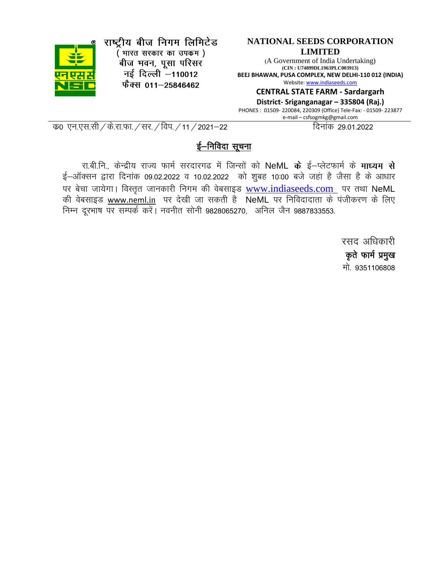

राष्ट्रीय बीज निगम लिमिटेड (भारत सरकार का उपकम) <sup>.</sup><br>बीज भवन, पूसा परिसर नई दिल्ली -110012

फैक्स 011-25846462

#### **NATIONAL SEEDS CORPORATION LIMITED**

(A Government of India Undertaking) **(CIN : U74899DL1963PLC003913) BEEJ BHAWAN, PUSA COMPLEX, NEW DELHI-110 012 (INDIA)** Website[: www.indiaseeds.com](http://www.indiaseeds.com/)

**CENTRAL STATE FARM - Sardargarh**

**District- Sriganganagar – 335804 (Raj.)** PHONES : 01509- 220084, 220309 (Office) Tele-Fax: - 01509- 223877 e-mail – csfsogmkg@gmail.com

d z0 ,u-,l-lh@ds-jk-Qk-@lj-@foi-@11@2021&22 fnukad 29-01-2022

#### ई–निविदा सुचना

रा.बी.नि., केन्द्रीय राज्य फार्म सरदारगढ में जिन्सों को NeML के ई–प्लेटफार्म के **माध्यम से**  $\xi$ –ऑक्सन द्वारा दिनांक 09.02.2022 व 10.02.2022 को शुबह 10:00 बजे जहां है जैसा है के आधार पर बेचा जायेगा। विस्तृत जानकारी निगम की वेबसाइड  $\underline{\text{www.indiaseeds.com}}$  $\underline{\text{www.indiaseeds.com}}$  $\underline{\text{www.indiaseeds.com}}$  पर तथा NeML की वेबसाइड www.neml.in पर देखी जा सकती है NeML पर निविदादाता के पंजीकरण के लिए निम्न दूरभाष पर सम्पर्क करें। नवनीत सोनी 9828065270, अनिल जैन 9887833553.

> रसद अधिकारी कृते फार्म प्रमुख मो 9351106808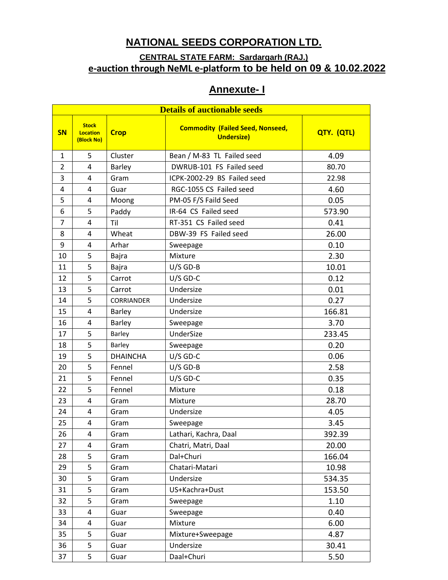### **NATIONAL SEEDS CORPORATION LTD.**

### **CENTRAL STATE FARM: Sardargarh (RAJ.) e-auction through NeML e-platform to be held on 09 & 10.02.2022**

## **Annexute- I**

| <b>Details of auctionable seeds</b> |                                               |                 |                                                              |            |  |
|-------------------------------------|-----------------------------------------------|-----------------|--------------------------------------------------------------|------------|--|
| <b>SN</b>                           | <b>Stock</b><br><b>Location</b><br>(Block No) | <b>Crop</b>     | <b>Commodity (Failed Seed, Nonseed,</b><br><b>Undersize)</b> | QTY. (QTL) |  |
| $\mathbf{1}$                        | 5                                             | Cluster         | Bean / M-83 TL Failed seed                                   | 4.09       |  |
| $\overline{2}$                      | 4                                             | <b>Barley</b>   | DWRUB-101 FS Failed seed                                     | 80.70      |  |
| 3                                   | 4                                             | Gram            | ICPK-2002-29 BS Failed seed                                  | 22.98      |  |
| 4                                   | 4                                             | Guar            | RGC-1055 CS Failed seed                                      | 4.60       |  |
| 5                                   | 4                                             | Moong           | PM-05 F/S Faild Seed                                         | 0.05       |  |
| 6                                   | 5                                             | Paddy           | IR-64 CS Failed seed                                         | 573.90     |  |
| $\overline{7}$                      | 4                                             | Til             | RT-351 CS Failed seed                                        | 0.41       |  |
| 8                                   | 4                                             | Wheat           | DBW-39 FS Failed seed                                        | 26.00      |  |
| 9                                   | 4                                             | Arhar           | Sweepage                                                     | 0.10       |  |
| 10                                  | 5                                             | Bajra           | Mixture                                                      | 2.30       |  |
| 11                                  | 5                                             | Bajra           | $U/S$ GD-B                                                   | 10.01      |  |
| 12                                  | 5                                             | Carrot          | $U/S$ GD-C                                                   | 0.12       |  |
| 13                                  | 5                                             | Carrot          | Undersize                                                    | 0.01       |  |
| 14                                  | 5                                             | CORRIANDER      | Undersize                                                    | 0.27       |  |
| 15                                  | 4                                             | Barley          | Undersize                                                    | 166.81     |  |
| 16                                  | 4                                             | <b>Barley</b>   | Sweepage                                                     | 3.70       |  |
| 17                                  | 5                                             | Barley          | UnderSize                                                    | 233.45     |  |
| 18                                  | 5                                             | Barley          | Sweepage                                                     | 0.20       |  |
| 19                                  | 5                                             | <b>DHAINCHA</b> | $U/S$ GD-C                                                   | 0.06       |  |
| 20                                  | 5                                             | Fennel          | $U/S$ GD-B                                                   | 2.58       |  |
| 21                                  | 5                                             | Fennel          | $U/S$ GD-C                                                   | 0.35       |  |
| 22                                  | 5                                             | Fennel          | Mixture                                                      | 0.18       |  |
| 23                                  | 4                                             | Gram            | Mixture                                                      | 28.70      |  |
| 24                                  | 4                                             | Gram            | Undersize                                                    | 4.05       |  |
| 25                                  | 4                                             | Gram            | Sweepage                                                     | 3.45       |  |
| 26                                  | 4                                             | Gram            | Lathari, Kachra, Daal                                        | 392.39     |  |
| 27                                  | 4                                             | Gram            | Chatri, Matri, Daal                                          | 20.00      |  |
| 28                                  | 5                                             | Gram            | Dal+Churi                                                    | 166.04     |  |
| 29                                  | 5                                             | Gram            | Chatari-Matari                                               | 10.98      |  |
| 30                                  | 5                                             | Gram            | Undersize                                                    | 534.35     |  |
| 31                                  | 5                                             | Gram            | US+Kachra+Dust                                               | 153.50     |  |
| 32                                  | 5                                             | Gram            | Sweepage                                                     | 1.10       |  |
| 33                                  | 4                                             | Guar            | Sweepage                                                     | 0.40       |  |
| 34                                  | 4                                             | Guar            | Mixture                                                      | 6.00       |  |
| 35                                  | 5                                             | Guar            | Mixture+Sweepage                                             | 4.87       |  |
| 36                                  | 5                                             | Guar            | Undersize                                                    | 30.41      |  |
| 37                                  | 5                                             | Guar            | Daal+Churi                                                   | 5.50       |  |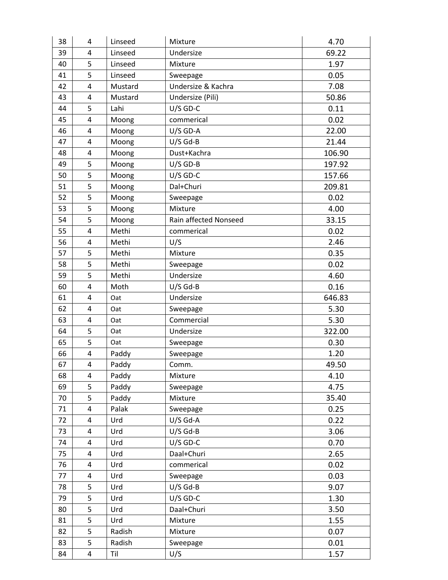| 38 | 4              | Linseed | Mixture               | 4.70   |
|----|----------------|---------|-----------------------|--------|
| 39 | 4              | Linseed | Undersize             | 69.22  |
| 40 | 5              | Linseed | Mixture               | 1.97   |
| 41 | 5              | Linseed | Sweepage              | 0.05   |
| 42 | 4              | Mustard | Undersize & Kachra    | 7.08   |
| 43 | 4              | Mustard | Undersize (Pili)      | 50.86  |
| 44 | 5              | Lahi    | $U/S$ GD-C            | 0.11   |
| 45 | 4              | Moong   | commerical            | 0.02   |
| 46 | 4              | Moong   | $U/S$ GD-A            | 22.00  |
| 47 | 4              | Moong   | $U/S$ Gd-B            | 21.44  |
| 48 | 4              | Moong   | Dust+Kachra           | 106.90 |
| 49 | 5              | Moong   | $U/S$ GD-B            | 197.92 |
| 50 | 5              | Moong   | $U/S$ GD-C            | 157.66 |
| 51 | 5              | Moong   | Dal+Churi             | 209.81 |
| 52 | 5              | Moong   | Sweepage              | 0.02   |
| 53 | 5              | Moong   | Mixture               | 4.00   |
| 54 | 5              | Moong   | Rain affected Nonseed | 33.15  |
| 55 | 4              | Methi   | commerical            | 0.02   |
| 56 | 4              | Methi   | U/S                   | 2.46   |
| 57 | 5              | Methi   | Mixture               | 0.35   |
| 58 | 5              | Methi   | Sweepage              | 0.02   |
| 59 | 5              | Methi   | Undersize             | 4.60   |
| 60 | 4              | Moth    | $U/S$ Gd-B            | 0.16   |
| 61 | 4              | Oat     | Undersize             | 646.83 |
| 62 | 4              | Oat     | Sweepage              | 5.30   |
| 63 | 4              | Oat     | Commercial            | 5.30   |
| 64 | 5              | Oat     | Undersize             | 322.00 |
| 65 | 5              | Oat     | Sweepage              | 0.30   |
| 66 | $\overline{4}$ | Paddy   | Sweepage              | 1.20   |
| 67 | 4              | Paddy   | Comm.                 | 49.50  |
| 68 | 4              | Paddy   | Mixture               | 4.10   |
| 69 | 5              | Paddy   | Sweepage              | 4.75   |
| 70 | 5              | Paddy   | Mixture               | 35.40  |
| 71 | 4              | Palak   | Sweepage              | 0.25   |
| 72 | 4              | Urd     | $U/S$ Gd-A            | 0.22   |
| 73 | 4              | Urd     | $U/S$ Gd-B            | 3.06   |
| 74 | 4              | Urd     | $U/S$ GD-C            | 0.70   |
| 75 | 4              | Urd     | Daal+Churi            | 2.65   |
| 76 | 4              | Urd     | commerical            | 0.02   |
| 77 | 4              | Urd     | Sweepage              | 0.03   |
| 78 | 5              | Urd     | $U/S$ Gd-B            | 9.07   |
| 79 | 5              | Urd     | $U/S$ GD-C            | 1.30   |
| 80 | 5              | Urd     | Daal+Churi            | 3.50   |
| 81 | 5              | Urd     | Mixture               | 1.55   |
| 82 | 5              | Radish  | Mixture               | 0.07   |
| 83 | 5              | Radish  | Sweepage              | 0.01   |
| 84 | 4              | Til     | U/S                   | 1.57   |